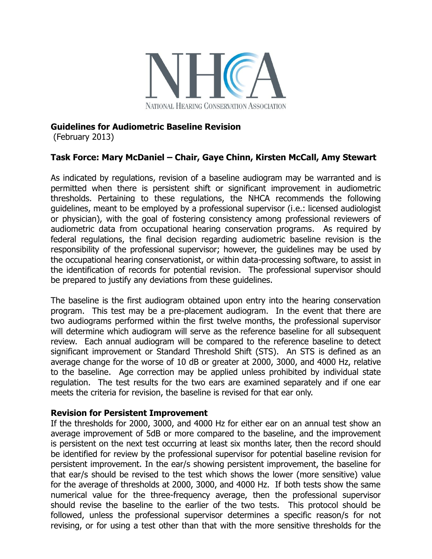

## **Guidelines for Audiometric Baseline Revision**

(February 2013)

# **Task Force: Mary McDaniel – Chair, Gaye Chinn, Kirsten McCall, Amy Stewart**

As indicated by regulations, revision of a baseline audiogram may be warranted and is permitted when there is persistent shift or significant improvement in audiometric thresholds. Pertaining to these regulations, the NHCA recommends the following guidelines, meant to be employed by a professional supervisor (i.e.: licensed audiologist or physician), with the goal of fostering consistency among professional reviewers of audiometric data from occupational hearing conservation programs. As required by federal regulations, the final decision regarding audiometric baseline revision is the responsibility of the professional supervisor; however, the guidelines may be used by the occupational hearing conservationist, or within data-processing software, to assist in the identification of records for potential revision. The professional supervisor should be prepared to justify any deviations from these guidelines.

The baseline is the first audiogram obtained upon entry into the hearing conservation program. This test may be a pre-placement audiogram. In the event that there are two audiograms performed within the first twelve months, the professional supervisor will determine which audiogram will serve as the reference baseline for all subsequent review. Each annual audiogram will be compared to the reference baseline to detect significant improvement or Standard Threshold Shift (STS). An STS is defined as an average change for the worse of 10 dB or greater at 2000, 3000, and 4000 Hz, relative to the baseline. Age correction may be applied unless prohibited by individual state regulation. The test results for the two ears are examined separately and if one ear meets the criteria for revision, the baseline is revised for that ear only.

### **Revision for Persistent Improvement**

If the thresholds for 2000, 3000, and 4000 Hz for either ear on an annual test show an average improvement of 5dB or more compared to the baseline, and the improvement is persistent on the next test occurring at least six months later, then the record should be identified for review by the professional supervisor for potential baseline revision for persistent improvement. In the ear/s showing persistent improvement, the baseline for that ear/s should be revised to the test which shows the lower (more sensitive) value for the average of thresholds at 2000, 3000, and 4000 Hz. If both tests show the same numerical value for the three-frequency average, then the professional supervisor should revise the baseline to the earlier of the two tests. This protocol should be followed, unless the professional supervisor determines a specific reason/s for not revising, or for using a test other than that with the more sensitive thresholds for the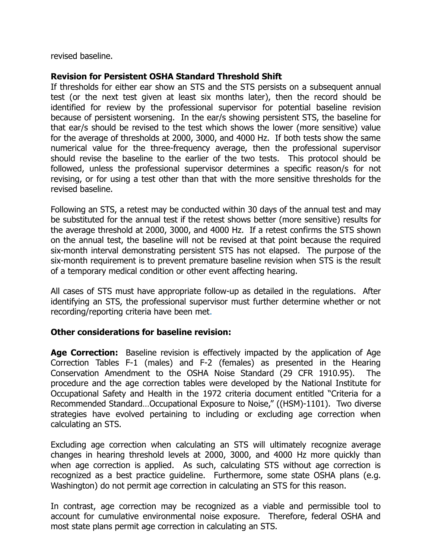revised baseline.

## **Revision for Persistent OSHA Standard Threshold Shift**

If thresholds for either ear show an STS and the STS persists on a subsequent annual test (or the next test given at least six months later), then the record should be identified for review by the professional supervisor for potential baseline revision because of persistent worsening. In the ear/s showing persistent STS, the baseline for that ear/s should be revised to the test which shows the lower (more sensitive) value for the average of thresholds at 2000, 3000, and 4000 Hz. If both tests show the same numerical value for the three-frequency average, then the professional supervisor should revise the baseline to the earlier of the two tests. This protocol should be followed, unless the professional supervisor determines a specific reason/s for not revising, or for using a test other than that with the more sensitive thresholds for the revised baseline.

Following an STS, a retest may be conducted within 30 days of the annual test and may be substituted for the annual test if the retest shows better (more sensitive) results for the average threshold at 2000, 3000, and 4000 Hz. If a retest confirms the STS shown on the annual test, the baseline will not be revised at that point because the required six-month interval demonstrating persistent STS has not elapsed. The purpose of the six-month requirement is to prevent premature baseline revision when STS is the result of a temporary medical condition or other event affecting hearing.

All cases of STS must have appropriate follow-up as detailed in the regulations. After identifying an STS, the professional supervisor must further determine whether or not recording/reporting criteria have been met.

## **Other considerations for baseline revision:**

**Age Correction:** Baseline revision is effectively impacted by the application of Age Correction Tables F-1 (males) and F-2 (females) as presented in the Hearing Conservation Amendment to the OSHA Noise Standard (29 CFR 1910.95). The procedure and the age correction tables were developed by the National Institute for Occupational Safety and Health in the 1972 criteria document entitled "Criteria for a Recommended Standard…Occupational Exposure to Noise," ((HSM)-1101). Two diverse strategies have evolved pertaining to including or excluding age correction when calculating an STS.

Excluding age correction when calculating an STS will ultimately recognize average changes in hearing threshold levels at 2000, 3000, and 4000 Hz more quickly than when age correction is applied. As such, calculating STS without age correction is recognized as a best practice guideline. Furthermore, some state OSHA plans (e.g. Washington) do not permit age correction in calculating an STS for this reason.

In contrast, age correction may be recognized as a viable and permissible tool to account for cumulative environmental noise exposure. Therefore, federal OSHA and most state plans permit age correction in calculating an STS.